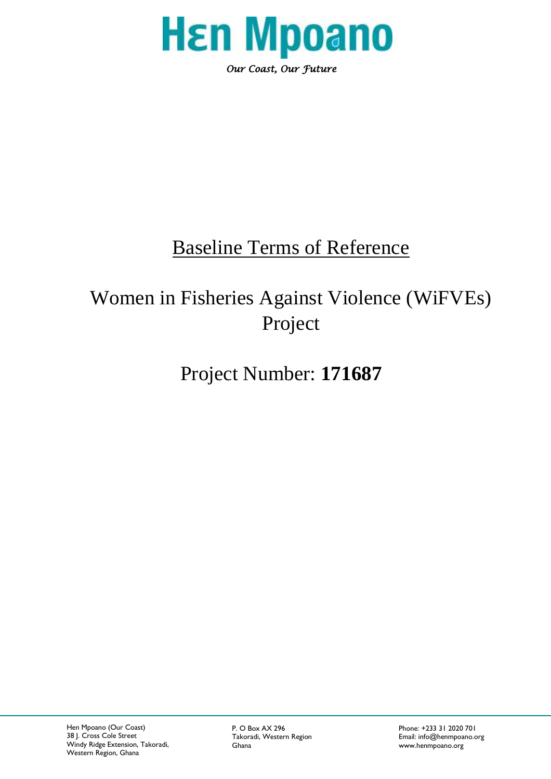

## Baseline Terms of Reference

# Women in Fisheries Against Violence (WiFVEs) Project

## Project Number: **171687**

P. O Box AX 296 **Phone: +233 31 2020 701** 

Takoradi, Western Region **Email:** info@henmpoano.org<br>Ghana **Email:** info@henmpoano.org www.henmpoano.org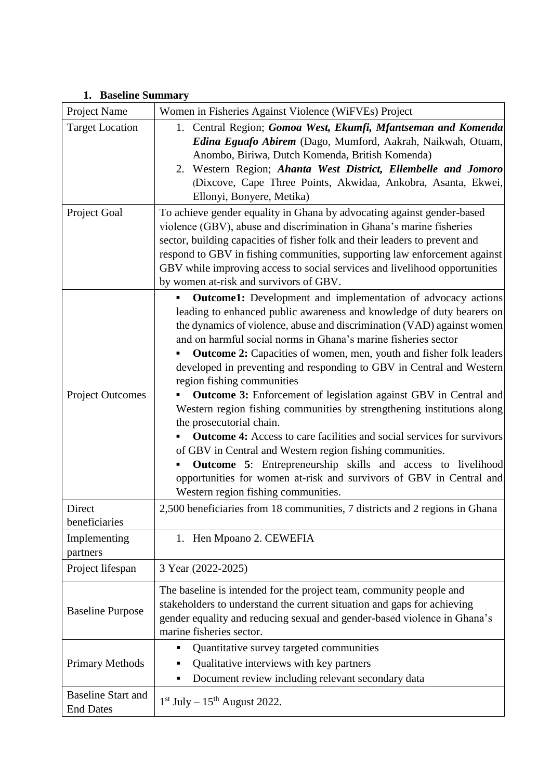|  |  | 1. Baseline Summary |
|--|--|---------------------|
|--|--|---------------------|

| Project Name                                  | Women in Fisheries Against Violence (WiFVEs) Project                                                                                                                                                                                                                                                                                                                                                                                                                                                                                                                                                                                                                                                                                                                                                                                                                                                                                                                                    |
|-----------------------------------------------|-----------------------------------------------------------------------------------------------------------------------------------------------------------------------------------------------------------------------------------------------------------------------------------------------------------------------------------------------------------------------------------------------------------------------------------------------------------------------------------------------------------------------------------------------------------------------------------------------------------------------------------------------------------------------------------------------------------------------------------------------------------------------------------------------------------------------------------------------------------------------------------------------------------------------------------------------------------------------------------------|
| <b>Target Location</b>                        | 1. Central Region; Gomoa West, Ekumfi, Mfantseman and Komenda<br>Edina Eguafo Abirem (Dago, Mumford, Aakrah, Naikwah, Otuam,<br>Anombo, Biriwa, Dutch Komenda, British Komenda)<br>2. Western Region; Ahanta West District, Ellembelle and Jomoro<br>(Dixcove, Cape Three Points, Akwidaa, Ankobra, Asanta, Ekwei,<br>Ellonyi, Bonyere, Metika)                                                                                                                                                                                                                                                                                                                                                                                                                                                                                                                                                                                                                                         |
| Project Goal                                  | To achieve gender equality in Ghana by advocating against gender-based<br>violence (GBV), abuse and discrimination in Ghana's marine fisheries<br>sector, building capacities of fisher folk and their leaders to prevent and<br>respond to GBV in fishing communities, supporting law enforcement against<br>GBV while improving access to social services and livelihood opportunities<br>by women at-risk and survivors of GBV.                                                                                                                                                                                                                                                                                                                                                                                                                                                                                                                                                      |
| <b>Project Outcomes</b>                       | <b>Outcome1:</b> Development and implementation of advocacy actions<br>leading to enhanced public awareness and knowledge of duty bearers on<br>the dynamics of violence, abuse and discrimination (VAD) against women<br>and on harmful social norms in Ghana's marine fisheries sector<br><b>Outcome 2:</b> Capacities of women, men, youth and fisher folk leaders<br>developed in preventing and responding to GBV in Central and Western<br>region fishing communities<br>Outcome 3: Enforcement of legislation against GBV in Central and<br>Western region fishing communities by strengthening institutions along<br>the prosecutorial chain.<br><b>Outcome 4:</b> Access to care facilities and social services for survivors<br>of GBV in Central and Western region fishing communities.<br><b>Outcome 5:</b> Entrepreneurship skills and access to livelihood<br>opportunities for women at-risk and survivors of GBV in Central and<br>Western region fishing communities. |
| Direct<br>beneficiaries                       | 2,500 beneficiaries from 18 communities, 7 districts and 2 regions in Ghana                                                                                                                                                                                                                                                                                                                                                                                                                                                                                                                                                                                                                                                                                                                                                                                                                                                                                                             |
| Implementing<br>partners                      | 1. Hen Mpoano 2. CEWEFIA                                                                                                                                                                                                                                                                                                                                                                                                                                                                                                                                                                                                                                                                                                                                                                                                                                                                                                                                                                |
| Project lifespan                              | 3 Year (2022-2025)                                                                                                                                                                                                                                                                                                                                                                                                                                                                                                                                                                                                                                                                                                                                                                                                                                                                                                                                                                      |
| <b>Baseline Purpose</b>                       | The baseline is intended for the project team, community people and<br>stakeholders to understand the current situation and gaps for achieving<br>gender equality and reducing sexual and gender-based violence in Ghana's<br>marine fisheries sector.                                                                                                                                                                                                                                                                                                                                                                                                                                                                                                                                                                                                                                                                                                                                  |
| <b>Primary Methods</b>                        | Quantitative survey targeted communities<br>Qualitative interviews with key partners<br>Document review including relevant secondary data                                                                                                                                                                                                                                                                                                                                                                                                                                                                                                                                                                                                                                                                                                                                                                                                                                               |
| <b>Baseline Start and</b><br><b>End Dates</b> | $1st$ July – $15th$ August 2022.                                                                                                                                                                                                                                                                                                                                                                                                                                                                                                                                                                                                                                                                                                                                                                                                                                                                                                                                                        |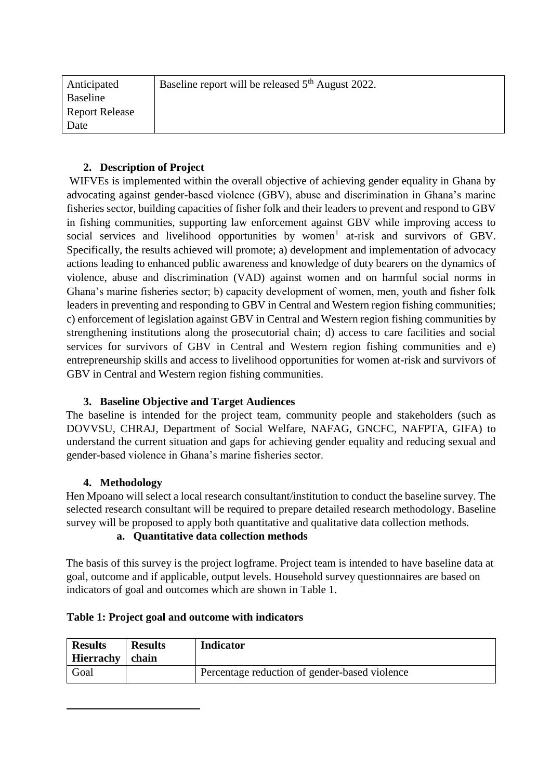| Anticipated           | Baseline report will be released 5 <sup>th</sup> August 2022. |
|-----------------------|---------------------------------------------------------------|
| Baseline              |                                                               |
| <b>Report Release</b> |                                                               |
| Date                  |                                                               |

## **2. Description of Project**

WIFVEs is implemented within the overall objective of achieving gender equality in Ghana by advocating against gender-based violence (GBV), abuse and discrimination in Ghana's marine fisheries sector, building capacities of fisher folk and their leaders to prevent and respond to GBV in fishing communities, supporting law enforcement against GBV while improving access to social services and livelihood opportunities by women<sup>1</sup> at-risk and survivors of GBV. Specifically, the results achieved will promote; a) development and implementation of advocacy actions leading to enhanced public awareness and knowledge of duty bearers on the dynamics of violence, abuse and discrimination (VAD) against women and on harmful social norms in Ghana's marine fisheries sector; b) capacity development of women, men, youth and fisher folk leaders in preventing and responding to GBV in Central and Western region fishing communities; c) enforcement of legislation against GBV in Central and Western region fishing communities by strengthening institutions along the prosecutorial chain; d) access to care facilities and social services for survivors of GBV in Central and Western region fishing communities and e) entrepreneurship skills and access to livelihood opportunities for women at-risk and survivors of GBV in Central and Western region fishing communities.

### **3. Baseline Objective and Target Audiences**

The baseline is intended for the project team, community people and stakeholders (such as DOVVSU, CHRAJ, Department of Social Welfare, NAFAG, GNCFC, NAFPTA, GIFA) to understand the current situation and gaps for achieving gender equality and reducing sexual and gender-based violence in Ghana's marine fisheries sector.

### **4. Methodology**

 $\overline{a}$ 

Hen Mpoano will select a local research consultant/institution to conduct the baseline survey. The selected research consultant will be required to prepare detailed research methodology. Baseline survey will be proposed to apply both quantitative and qualitative data collection methods.

#### **a. Quantitative data collection methods**

The basis of this survey is the project logframe. Project team is intended to have baseline data at goal, outcome and if applicable, output levels. Household survey questionnaires are based on indicators of goal and outcomes which are shown in Table 1.

| <b>Results</b><br>Hierrachy | <b>Results</b><br>chain | <b>Indicator</b>                              |
|-----------------------------|-------------------------|-----------------------------------------------|
| Goal                        |                         | Percentage reduction of gender-based violence |

#### **Table 1: Project goal and outcome with indicators**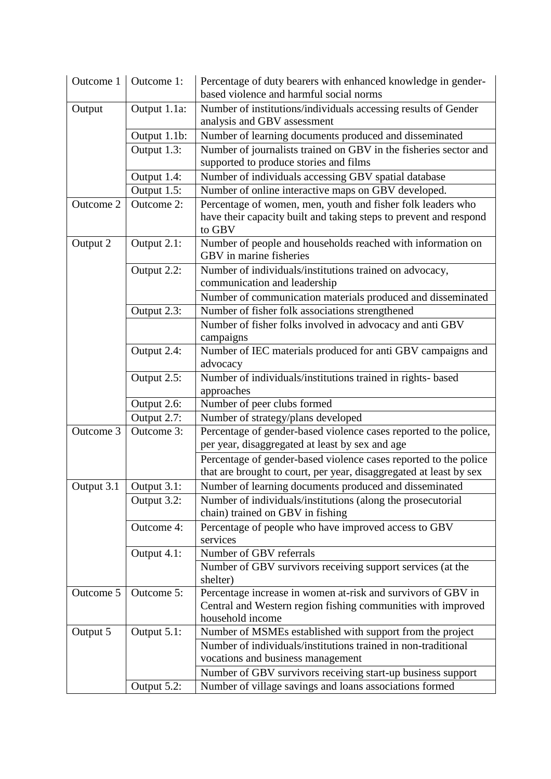| Outcome 1  | Outcome 1:   | Percentage of duty bearers with enhanced knowledge in gender-<br>based violence and harmful social norms                                   |
|------------|--------------|--------------------------------------------------------------------------------------------------------------------------------------------|
| Output     | Output 1.1a: | Number of institutions/individuals accessing results of Gender<br>analysis and GBV assessment                                              |
|            | Output 1.1b: | Number of learning documents produced and disseminated                                                                                     |
|            | Output 1.3:  | Number of journalists trained on GBV in the fisheries sector and<br>supported to produce stories and films                                 |
|            | Output 1.4:  | Number of individuals accessing GBV spatial database                                                                                       |
|            | Output 1.5:  | Number of online interactive maps on GBV developed.                                                                                        |
| Outcome 2  | Outcome 2:   | Percentage of women, men, youth and fisher folk leaders who<br>have their capacity built and taking steps to prevent and respond<br>to GBV |
| Output 2   | Output 2.1:  | Number of people and households reached with information on<br>GBV in marine fisheries                                                     |
|            | Output 2.2:  | Number of individuals/institutions trained on advocacy,<br>communication and leadership                                                    |
|            |              | Number of communication materials produced and disseminated                                                                                |
|            | Output 2.3:  | Number of fisher folk associations strengthened                                                                                            |
|            |              | Number of fisher folks involved in advocacy and anti GBV                                                                                   |
|            |              | campaigns                                                                                                                                  |
|            | Output 2.4:  | Number of IEC materials produced for anti GBV campaigns and<br>advocacy                                                                    |
|            | Output 2.5:  | Number of individuals/institutions trained in rights- based                                                                                |
|            |              | approaches                                                                                                                                 |
|            | Output 2.6:  | Number of peer clubs formed                                                                                                                |
|            | Output 2.7:  | Number of strategy/plans developed                                                                                                         |
| Outcome 3  | Outcome 3:   | Percentage of gender-based violence cases reported to the police,                                                                          |
|            |              | per year, disaggregated at least by sex and age                                                                                            |
|            |              | Percentage of gender-based violence cases reported to the police                                                                           |
|            |              | that are brought to court, per year, disaggregated at least by sex                                                                         |
| Output 3.1 | Output 3.1:  | Number of learning documents produced and disseminated                                                                                     |
|            | Output 3.2:  | Number of individuals/institutions (along the prosecutorial<br>chain) trained on GBV in fishing                                            |
|            | Outcome 4:   | Percentage of people who have improved access to GBV                                                                                       |
|            |              | services                                                                                                                                   |
|            | Output 4.1:  | Number of GBV referrals                                                                                                                    |
|            |              | Number of GBV survivors receiving support services (at the<br>shelter)                                                                     |
| Outcome 5  | Outcome 5:   | Percentage increase in women at-risk and survivors of GBV in                                                                               |
|            |              | Central and Western region fishing communities with improved<br>household income                                                           |
| Output 5   | Output 5.1:  | Number of MSMEs established with support from the project                                                                                  |
|            |              | Number of individuals/institutions trained in non-traditional                                                                              |
|            |              | vocations and business management                                                                                                          |
|            |              | Number of GBV survivors receiving start-up business support                                                                                |
|            | Output 5.2:  | Number of village savings and loans associations formed                                                                                    |